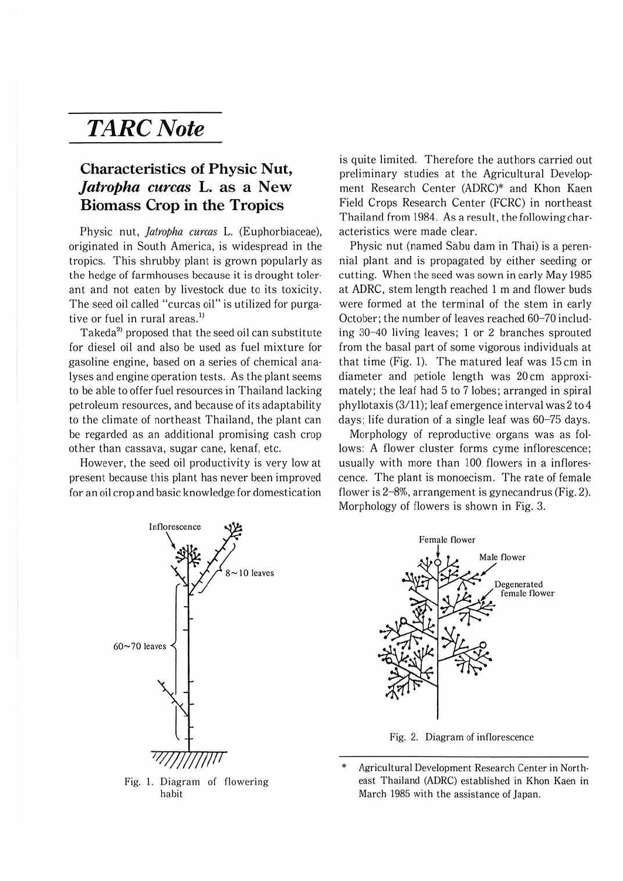## *TARCNote*

## **Characteristics of Physic Nut,**  *Jatropha curcas* **L. as a New Biomass Crop in the Tropics**

Physic nut, *jatropha curcas* L. (Euphorbiaceae), originated in South America, is widespread in the tropics. This shrubby plant is grown popularly as the hedge of farmhouses because it is drought toler· ant and not eaten by livestock due to its toxicity. The seed oil called "curcas oil" is utilized for purga· tive or fuel in rural areas.<sup>1)</sup>

Takeda<sup>2</sup> proposed that the seed oil can substitute for diesel oil and also be used as fuel mixture for gasoline engine, based on a series of chemical ana· lyses and engine operation tests. As the plant seems to be able to offer fuel resources in Thailand lacking petroleum resources, and because of its adaptability to the climate of northeast Thailand, the plant can be regarded as an additional promising cash crop other than cassava, sugar cane, kenaf, etc.

However. the seed oil productivity is very low at present because this plant has never been improved for an oil crop and basic knowledge for domestication is quite limited. Therefore the authors carried out preliminary studies at the Agricultural Develop· ment Research Center (ADRC)\* and Khon Kaen Field Crops Research Center (FCRC) in northeast Thailand from 1984. As a result, the following char· acteristics were made clear.

Physic nut (named Sabu dam in Thai) is a peren· nial plant and is propagated by either seeding or cutting. When the seed was sown in early May 1985 at ADRC. stem length reached 1 m and flower buds were formed at the terminal of the stem in early October; the number of leaves reached 60-70 includ· ing  $30-40$  living leaves; 1 or 2 branches sprouted from the basal part of some vigorous individuals at that time (Fig. 1). The matured leaf was 15cm in diameter and petiole length was 20 cm approxi· mately; the leaf had 5 to 7 lobes; arranged in spiral phyllotaxis (3/11); leaf emergence interval was 2 to 4 days; life duration of a single leaf was 60-75 days.

Morphology of reproductive organs was as follows: A flower cluster forms cyme inflorescence; usually with more than 100 flowers in a inflores· cence. The plant is monoecism. The rate of female flower is 2-8%, arrangement is gynecandrus (Fig. 2). Morphology of flowers is shown in Fig. 3.



Fig. I. Diagram of flowering habit



Fig. 2. Diagram of inflorescence

Agricultural Development Research Center in Northeast Thailand (ADRC) established in Khon Kaen in March 1985 with the assistance of Japan.